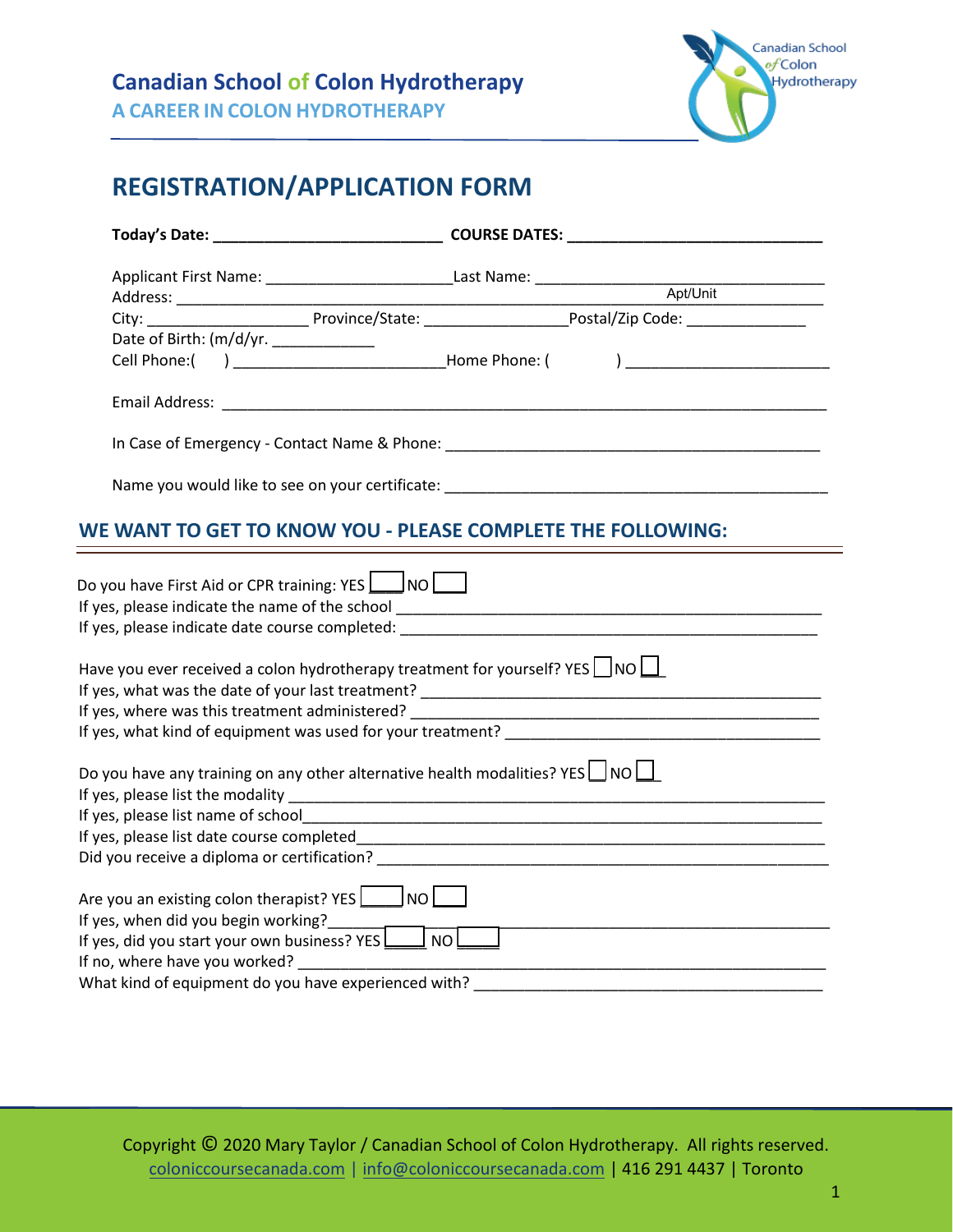

## **REGISTRATION/APPLICATION FORM**

|                                                                                           | City: ________________________________Province/State: __________________________Postal/Zip Code: ______________                                                                                                                |
|-------------------------------------------------------------------------------------------|--------------------------------------------------------------------------------------------------------------------------------------------------------------------------------------------------------------------------------|
| Date of Birth: (m/d/yr. _____________                                                     |                                                                                                                                                                                                                                |
|                                                                                           | Cell Phone:( ) _____________________________Home Phone: ( ) _____________________                                                                                                                                              |
|                                                                                           |                                                                                                                                                                                                                                |
|                                                                                           |                                                                                                                                                                                                                                |
|                                                                                           |                                                                                                                                                                                                                                |
|                                                                                           | WE WANT TO GET TO KNOW YOU - PLEASE COMPLETE THE FOLLOWING:                                                                                                                                                                    |
|                                                                                           |                                                                                                                                                                                                                                |
| Do you have First Aid or CPR training: YES $\bigsqcup$ NO $\bigsqcup$                     |                                                                                                                                                                                                                                |
|                                                                                           |                                                                                                                                                                                                                                |
|                                                                                           | If yes, please indicate date course completed: International contract of the set of the set of the set of the set of the set of the set of the set of the set of the set of the set of the set of the set of the set of the se |
|                                                                                           |                                                                                                                                                                                                                                |
| Have you ever received a colon hydrotherapy treatment for yourself? YES $\Box$ NO $\Box$  |                                                                                                                                                                                                                                |
|                                                                                           |                                                                                                                                                                                                                                |
|                                                                                           |                                                                                                                                                                                                                                |
|                                                                                           |                                                                                                                                                                                                                                |
|                                                                                           |                                                                                                                                                                                                                                |
| Do you have any training on any other alternative health modalities? YES $\Box$ NO $\Box$ |                                                                                                                                                                                                                                |
|                                                                                           |                                                                                                                                                                                                                                |
|                                                                                           |                                                                                                                                                                                                                                |
|                                                                                           |                                                                                                                                                                                                                                |
|                                                                                           |                                                                                                                                                                                                                                |
| Are you an existing colon therapist? $YES$ $\Box$ NO $\Box$                               |                                                                                                                                                                                                                                |
|                                                                                           |                                                                                                                                                                                                                                |
|                                                                                           |                                                                                                                                                                                                                                |
| If no, where have you worked?                                                             |                                                                                                                                                                                                                                |

Copyright © 2020 Mary Taylor / Canadian School of Colon Hydrotherapy. All rights reserved. [coloniccoursecanada.com](http://coloniccoursecanada.com/) | [info@coloniccoursecanada.com](mailto:info@coloniccoursecanada.com) | 416 291 4437 | Toronto

What kind of equipment do you have experienced with? \_\_\_\_\_\_\_\_\_\_\_\_\_\_\_\_\_\_\_\_\_\_\_\_\_\_\_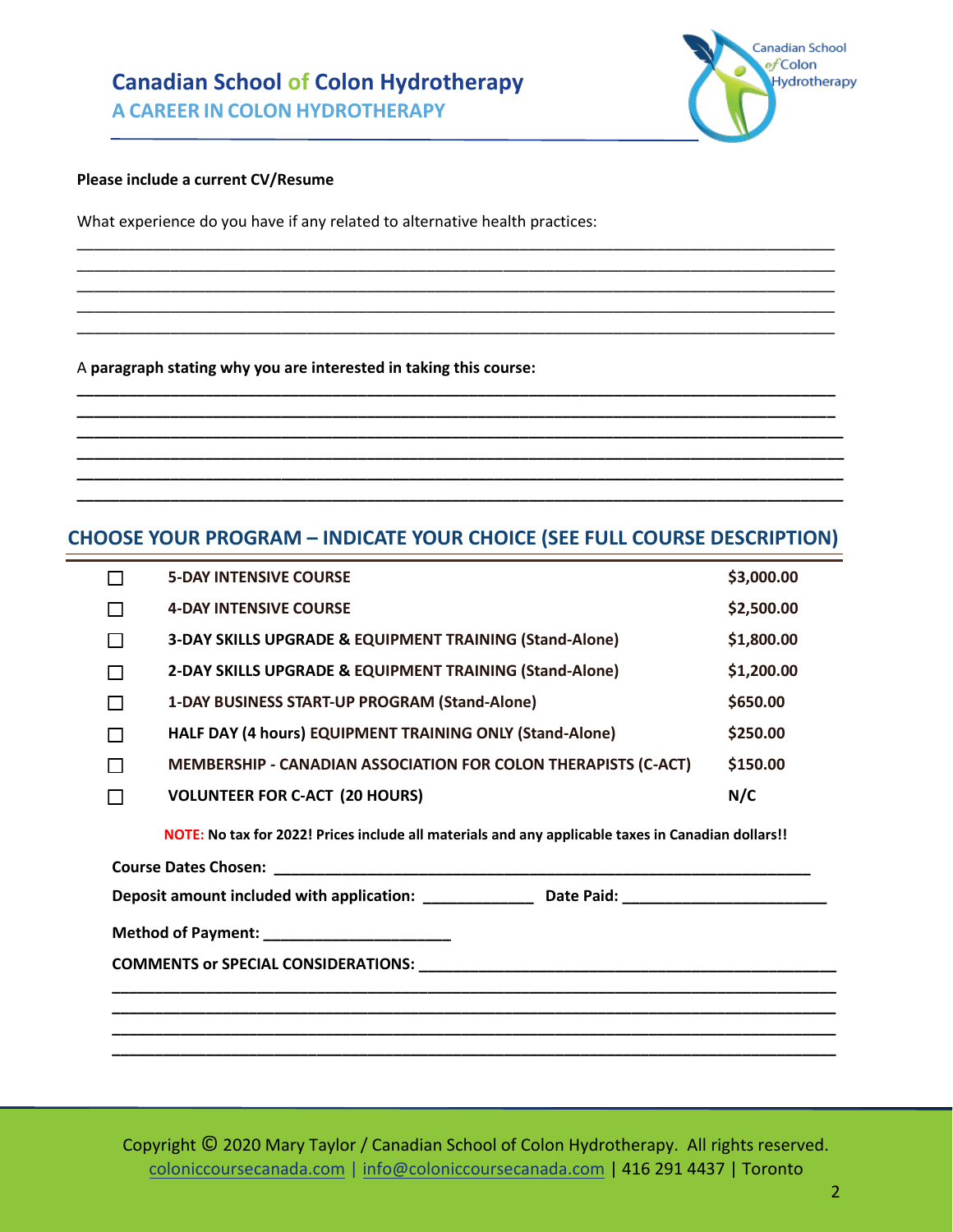# **Canadian School of Colon Hydrotherapy**

**A CAREER IN COLON HYDROTHERAPY**

#### **Please include a current CV/Resume**

What experience do you have if any related to alternative health practices:

A **paragraph stating why you are interested in taking this course:** 

#### **CHOOSE YOUR PROGRAM – INDICATE YOUR CHOICE (SEE FULL COURSE DESCRIPTION)**

\_\_\_\_\_\_\_\_\_\_\_\_\_\_\_\_\_\_\_\_\_\_\_\_\_\_\_\_\_\_\_\_\_\_\_\_\_\_\_\_\_\_\_\_\_\_\_\_\_\_\_\_\_\_\_\_\_\_\_\_\_\_\_\_\_\_\_\_\_\_\_\_\_\_\_\_\_\_\_\_\_\_\_\_\_\_\_\_\_ \_\_\_\_\_\_\_\_\_\_\_\_\_\_\_\_\_\_\_\_\_\_\_\_\_\_\_\_\_\_\_\_\_\_\_\_\_\_\_\_\_\_\_\_\_\_\_\_\_\_\_\_\_\_\_\_\_\_\_\_\_\_\_\_\_\_\_\_\_\_\_\_\_\_\_\_\_\_\_\_\_\_\_\_\_\_\_\_\_ \_\_\_\_\_\_\_\_\_\_\_\_\_\_\_\_\_\_\_\_\_\_\_\_\_\_\_\_\_\_\_\_\_\_\_\_\_\_\_\_\_\_\_\_\_\_\_\_\_\_\_\_\_\_\_\_\_\_\_\_\_\_\_\_\_\_\_\_\_\_\_\_\_\_\_\_\_\_\_\_\_\_\_\_\_\_\_\_\_ \_\_\_\_\_\_\_\_\_\_\_\_\_\_\_\_\_\_\_\_\_\_\_\_\_\_\_\_\_\_\_\_\_\_\_\_\_\_\_\_\_\_\_\_\_\_\_\_\_\_\_\_\_\_\_\_\_\_\_\_\_\_\_\_\_\_\_\_\_\_\_\_\_\_\_\_\_\_\_\_\_\_\_\_\_\_\_\_\_ \_\_\_\_\_\_\_\_\_\_\_\_\_\_\_\_\_\_\_\_\_\_\_\_\_\_\_\_\_\_\_\_\_\_\_\_\_\_\_\_\_\_\_\_\_\_\_\_\_\_\_\_\_\_\_\_\_\_\_\_\_\_\_\_\_\_\_\_\_\_\_\_\_\_\_\_\_\_\_\_\_\_\_\_\_\_\_\_\_

**\_\_\_\_\_\_\_\_\_\_\_\_\_\_\_\_\_\_\_\_\_\_\_\_\_\_\_\_\_\_\_\_\_\_\_\_\_\_\_\_\_\_\_\_\_\_\_\_\_\_\_\_\_\_\_\_\_\_\_\_\_\_\_\_\_\_\_\_\_\_\_\_\_\_\_\_\_\_\_\_\_\_\_\_\_\_\_\_\_ \_\_\_\_\_\_\_\_\_\_\_\_\_\_\_\_\_\_\_\_\_\_\_\_\_\_\_\_\_\_\_\_\_\_\_\_\_\_\_\_\_\_\_\_\_\_\_\_\_\_\_\_\_\_\_\_\_\_\_\_\_\_\_\_\_\_\_\_\_\_\_\_\_\_\_\_\_\_\_\_\_\_\_\_\_\_\_\_\_ \_\_\_\_\_\_\_\_\_\_\_\_\_\_\_\_\_\_\_\_\_\_\_\_\_\_\_\_\_\_\_\_\_\_\_\_\_\_\_\_\_\_\_\_\_\_\_\_\_\_\_\_\_\_\_\_\_\_\_\_\_\_\_\_\_\_\_\_\_\_\_\_\_\_\_\_\_\_\_\_\_\_\_\_\_\_\_\_\_\_ \_\_\_\_\_\_\_\_\_\_\_\_\_\_\_\_\_\_\_\_\_\_\_\_\_\_\_\_\_\_\_\_\_\_\_\_\_\_\_\_\_\_\_\_\_\_\_\_\_\_\_\_\_\_\_\_\_\_\_\_\_\_\_\_\_\_\_\_\_\_\_\_\_\_\_\_\_\_\_\_\_\_\_\_\_\_\_\_\_\_ \_\_\_\_\_\_\_\_\_\_\_\_\_\_\_\_\_\_\_\_\_\_\_\_\_\_\_\_\_\_\_\_\_\_\_\_\_\_\_\_\_\_\_\_\_\_\_\_\_\_\_\_\_\_\_\_\_\_\_\_\_\_\_\_\_\_\_\_\_\_\_\_\_\_\_\_\_\_\_\_\_\_\_\_\_\_\_\_\_\_ \_\_\_\_\_\_\_\_\_\_\_\_\_\_\_\_\_\_\_\_\_\_\_\_\_\_\_\_\_\_\_\_\_\_\_\_\_\_\_\_\_\_\_\_\_\_\_\_\_\_\_\_\_\_\_\_\_\_\_\_\_\_\_\_\_\_\_\_\_\_\_\_\_\_\_\_\_\_\_\_\_\_\_\_\_\_\_\_\_\_**

|                                                                                                     | <b>5-DAY INTENSIVE COURSE</b>                                                                      | \$3,000.00 |  |  |
|-----------------------------------------------------------------------------------------------------|----------------------------------------------------------------------------------------------------|------------|--|--|
|                                                                                                     | <b>4-DAY INTENSIVE COURSE</b>                                                                      | \$2,500.00 |  |  |
|                                                                                                     | 3-DAY SKILLS UPGRADE & EQUIPMENT TRAINING (Stand-Alone)                                            | \$1,800.00 |  |  |
|                                                                                                     | 2-DAY SKILLS UPGRADE & EQUIPMENT TRAINING (Stand-Alone)                                            | \$1,200.00 |  |  |
| П                                                                                                   | 1-DAY BUSINESS START-UP PROGRAM (Stand-Alone)                                                      | \$650.00   |  |  |
|                                                                                                     | HALF DAY (4 hours) EQUIPMENT TRAINING ONLY (Stand-Alone)<br>\$250.00                               |            |  |  |
|                                                                                                     | MEMBERSHIP - CANADIAN ASSOCIATION FOR COLON THERAPISTS (C-ACT)                                     | \$150.00   |  |  |
| П                                                                                                   | <b>VOLUNTEER FOR C-ACT (20 HOURS)</b>                                                              | N/C        |  |  |
|                                                                                                     | NOTE: No tax for 2022! Prices include all materials and any applicable taxes in Canadian dollars!! |            |  |  |
|                                                                                                     |                                                                                                    |            |  |  |
| Deposit amount included with application: ________________ Date Paid: _____________________________ |                                                                                                    |            |  |  |
| Method of Payment: ________________________                                                         |                                                                                                    |            |  |  |
|                                                                                                     |                                                                                                    |            |  |  |
|                                                                                                     |                                                                                                    |            |  |  |
|                                                                                                     |                                                                                                    |            |  |  |
|                                                                                                     |                                                                                                    |            |  |  |

Copyright © 2020 Mary Taylor / Canadian School of Colon Hydrotherapy. All rights reserved. [coloniccoursecanada.com](http://coloniccoursecanada.com/) | [info@coloniccoursecanada.com](mailto:info@coloniccoursecanada.com) | 416 291 4437 | Toronto

Canadian School of Colon Hydrotherapy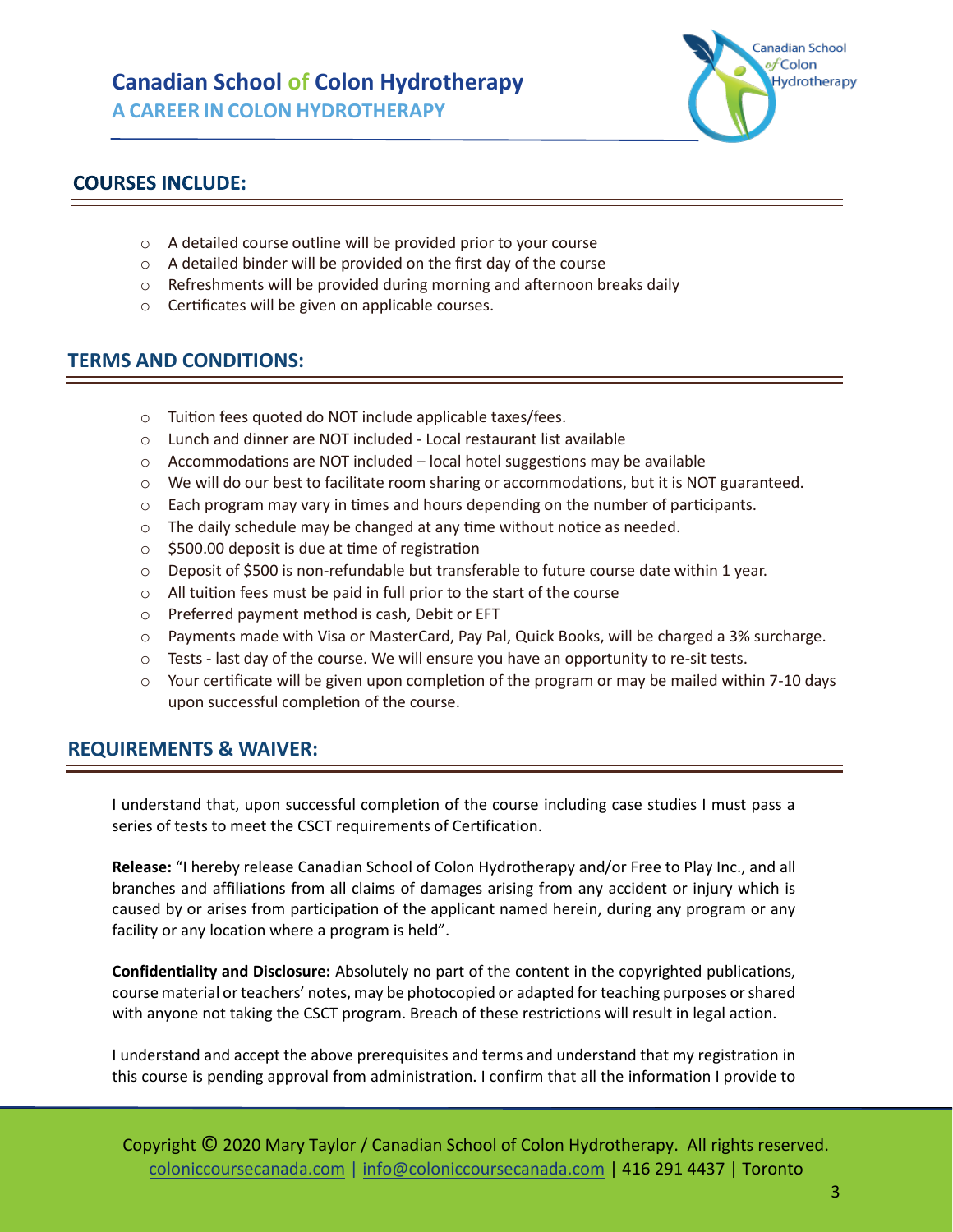## **Canadian School of Colon Hydrotherapy A CAREER IN COLON HYDROTHERAPY**

Canadian School of Colon **Hydrotherapy** 

## **COURSES INCLUDE:**

- o A detailed course outline will be provided prior to your course
- $\circ$  A detailed binder will be provided on the first day of the course
- o Refreshments will be provided during morning and afternoon breaks daily
- o Certificates will be given on applicable courses.

## **TERMS AND CONDITIONS:**

- o Tuition fees quoted do NOT include applicable taxes/fees.
- o Lunch and dinner are NOT included Local restaurant list available
- o Accommodations are NOT included local hotel suggestions may be available
- $\circ$  We will do our best to facilitate room sharing or accommodations, but it is NOT guaranteed.
- $\circ$  Each program may vary in times and hours depending on the number of participants.
- o The daily schedule may be changed at any time without notice as needed.
- $\circ$  \$500.00 deposit is due at time of registration
- $\circ$  Deposit of \$500 is non-refundable but transferable to future course date within 1 year.
- o All tuition fees must be paid in full prior to the start of the course
- o Preferred payment method is cash, Debit or EFT
- o Payments made with Visa or MasterCard, Pay Pal, Quick Books, will be charged a 3% surcharge.
- $\circ$  Tests last day of the course. We will ensure you have an opportunity to re-sit tests.
- $\circ$  Your certificate will be given upon completion of the program or may be mailed within 7-10 days upon successful completion of the course.

#### **REQUIREMENTS & WAIVER:**

I understand that, upon successful completion of the course including case studies I must pass a series of tests to meet the CSCT requirements of Certification.

**Release:** "I hereby release Canadian School of Colon Hydrotherapy and/or Free to Play Inc., and all branches and affiliations from all claims of damages arising from any accident or injury which is caused by or arises from participation of the applicant named herein, during any program or any facility or any location where a program is held".

**Confidentiality and Disclosure:** Absolutely no part of the content in the copyrighted publications, course material or teachers' notes, may be photocopied or adapted for teaching purposes or shared with anyone not taking the CSCT program. Breach of these restrictions will result in legal action.

I understand and accept the above prerequisites and terms and understand that my registration in this course is pending approval from administration. I confirm that all the information I provide to

Copyright © 2020 Mary Taylor / Canadian School of Colon Hydrotherapy. All rights reserved. [coloniccoursecanada.com](http://coloniccoursecanada.com/) | [info@coloniccoursecanada.com](mailto:info@coloniccoursecanada.com) | 416 291 4437 | Toronto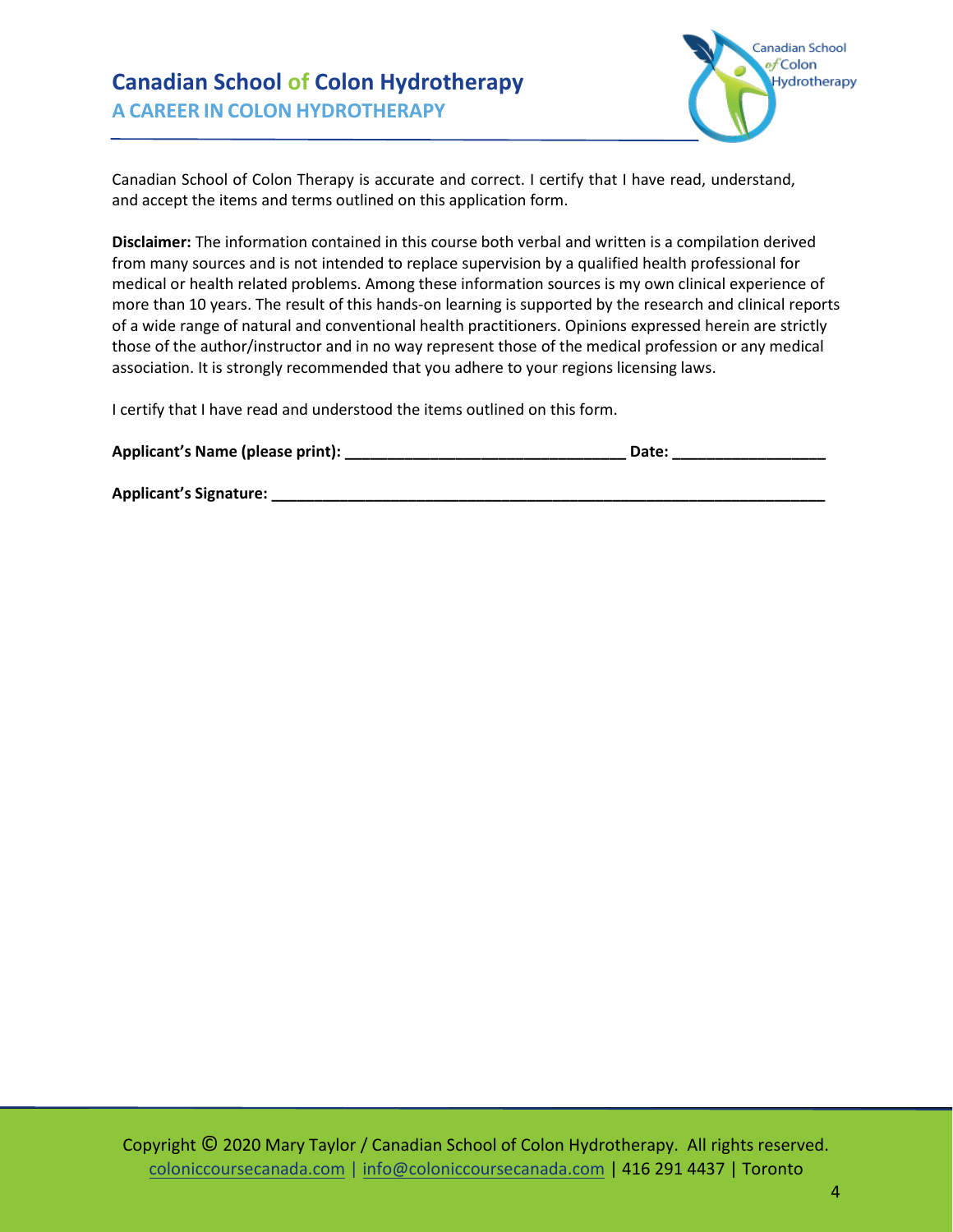

Canadian School of Colon Therapy is accurate and correct. I certify that I have read, understand, and accept the items and terms outlined on this application form.

**Disclaimer:** The information contained in this course both verbal and written is a compilation derived from many sources and is not intended to replace supervision by a qualified health professional for medical or health related problems. Among these information sources is my own clinical experience of more than 10 years. The result of this hands-on learning is supported by the research and clinical reports of a wide range of natural and conventional health practitioners. Opinions expressed herein are strictly those of the author/instructor and in no way represent those of the medical profession or any medical association. It is strongly recommended that you adhere to your regions licensing laws.

I certify that I have read and understood the items outlined on this form.

| Applicant's Name (please print): | Date: |  |
|----------------------------------|-------|--|
|                                  |       |  |
| <b>Applicant's Signature:</b>    |       |  |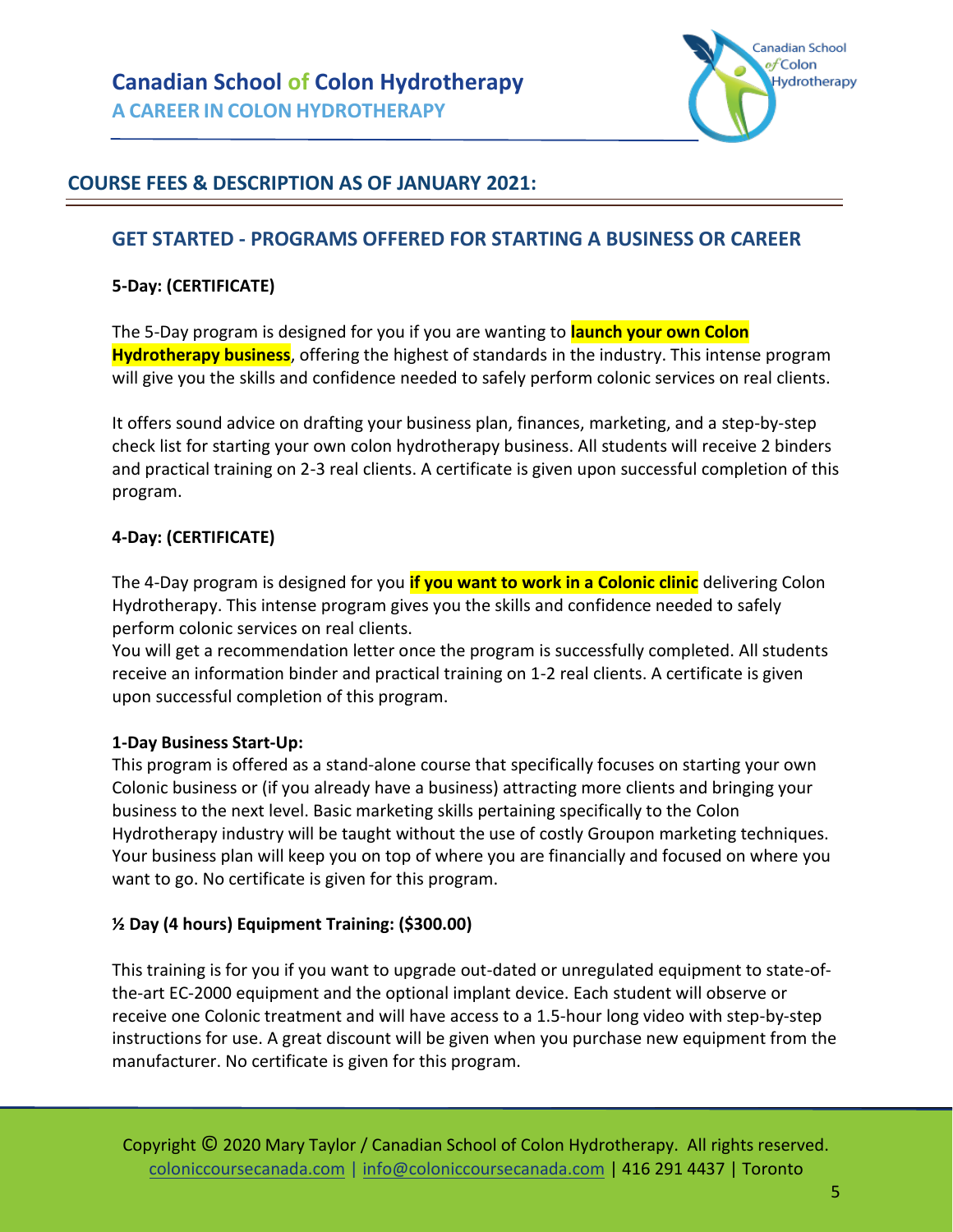

## **COURSE FEES & DESCRIPTION AS OF JANUARY 2021:**

#### **GET STARTED - PROGRAMS OFFERED FOR STARTING A BUSINESS OR CAREER**

#### **5-Day: (CERTIFICATE)**

The 5-Day program is designed for you if you are wanting to **launch your own Colon Hydrotherapy business**, offering the highest of standards in the industry. This intense program will give you the skills and confidence needed to safely perform colonic services on real clients.

It offers sound advice on drafting your business plan, finances, marketing, and a step-by-step check list for starting your own colon hydrotherapy business. All students will receive 2 binders and practical training on 2-3 real clients. A certificate is given upon successful completion of this program.

#### **4-Day: (CERTIFICATE)**

The 4-Day program is designed for you **if you want to work in a Colonic clinic** delivering Colon Hydrotherapy. This intense program gives you the skills and confidence needed to safely perform colonic services on real clients.

You will get a recommendation letter once the program is successfully completed. All students receive an information binder and practical training on 1-2 real clients. A certificate is given upon successful completion of this program.

#### **1-Day Business Start-Up:**

This program is offered as a stand-alone course that specifically focuses on starting your own Colonic business or (if you already have a business) attracting more clients and bringing your business to the next level. Basic marketing skills pertaining specifically to the Colon Hydrotherapy industry will be taught without the use of costly Groupon marketing techniques. Your business plan will keep you on top of where you are financially and focused on where you want to go. No certificate is given for this program.

#### **½ Day (4 hours) Equipment Training: (\$300.00)**

This training is for you if you want to upgrade out-dated or unregulated equipment to state-ofthe-art EC-2000 equipment and the optional implant device. Each student will observe or receive one Colonic treatment and will have access to a 1.5-hour long video with step-by-step instructions for use. A great discount will be given when you purchase new equipment from the manufacturer. No certificate is given for this program.

Copyright © 2020 Mary Taylor / Canadian School of Colon Hydrotherapy. All rights reserved. [coloniccoursecanada.com](http://coloniccoursecanada.com/) | [info@coloniccoursecanada.com](mailto:info@coloniccoursecanada.com) | 416 291 4437 | Toronto